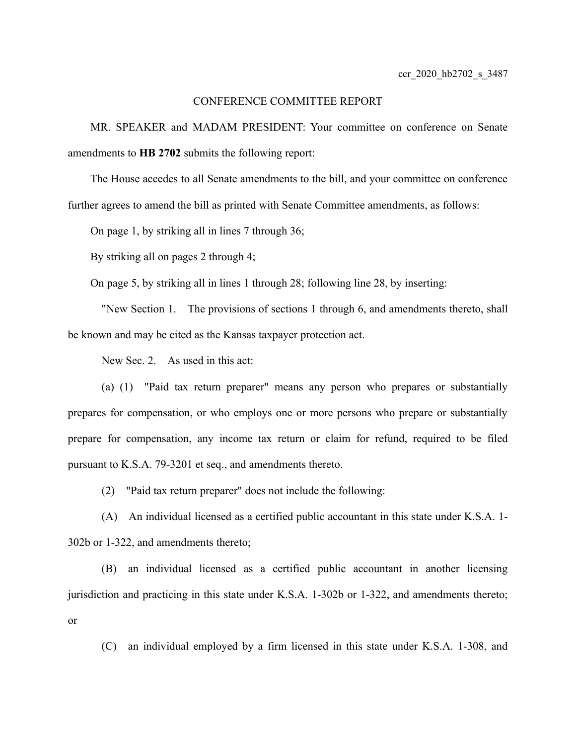## CONFERENCE COMMITTEE REPORT

MR. SPEAKER and MADAM PRESIDENT: Your committee on conference on Senate amendments to **HB 2702** submits the following report:

The House accedes to all Senate amendments to the bill, and your committee on conference further agrees to amend the bill as printed with Senate Committee amendments, as follows:

On page 1, by striking all in lines 7 through 36;

By striking all on pages 2 through 4;

On page 5, by striking all in lines 1 through 28; following line 28, by inserting:

"New Section 1. The provisions of sections 1 through 6, and amendments thereto, shall be known and may be cited as the Kansas taxpayer protection act.

New Sec. 2. As used in this act:

(a) (1) "Paid tax return preparer" means any person who prepares or substantially prepares for compensation, or who employs one or more persons who prepare or substantially prepare for compensation, any income tax return or claim for refund, required to be filed pursuant to K.S.A. 79-3201 et seq., and amendments thereto.

(2) "Paid tax return preparer" does not include the following:

(A) An individual licensed as a certified public accountant in this state under K.S.A. 1- 302b or 1-322, and amendments thereto;

(B) an individual licensed as a certified public accountant in another licensing jurisdiction and practicing in this state under K.S.A. 1-302b or 1-322, and amendments thereto; or

(C) an individual employed by a firm licensed in this state under K.S.A. 1-308, and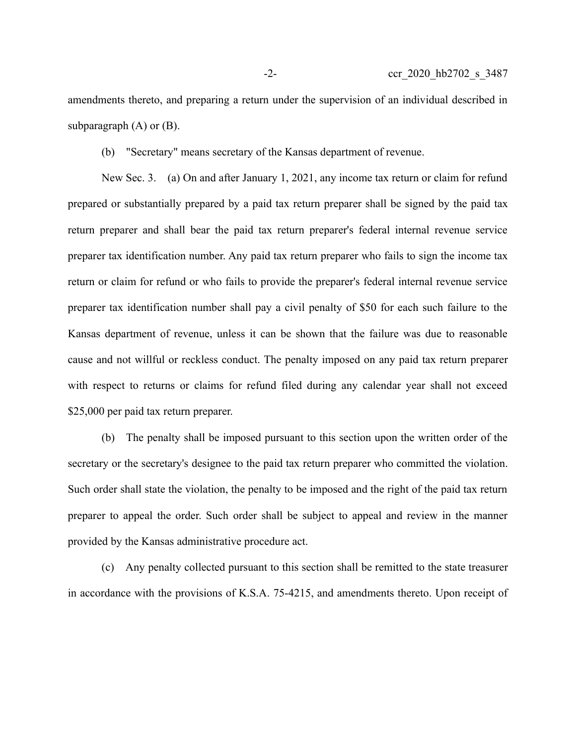amendments thereto, and preparing a return under the supervision of an individual described in subparagraph  $(A)$  or  $(B)$ .

(b) "Secretary" means secretary of the Kansas department of revenue.

New Sec. 3. (a) On and after January 1, 2021, any income tax return or claim for refund prepared or substantially prepared by a paid tax return preparer shall be signed by the paid tax return preparer and shall bear the paid tax return preparer's federal internal revenue service preparer tax identification number. Any paid tax return preparer who fails to sign the income tax return or claim for refund or who fails to provide the preparer's federal internal revenue service preparer tax identification number shall pay a civil penalty of \$50 for each such failure to the Kansas department of revenue, unless it can be shown that the failure was due to reasonable cause and not willful or reckless conduct. The penalty imposed on any paid tax return preparer with respect to returns or claims for refund filed during any calendar year shall not exceed \$25,000 per paid tax return preparer.

(b) The penalty shall be imposed pursuant to this section upon the written order of the secretary or the secretary's designee to the paid tax return preparer who committed the violation. Such order shall state the violation, the penalty to be imposed and the right of the paid tax return preparer to appeal the order. Such order shall be subject to appeal and review in the manner provided by the Kansas administrative procedure act.

(c) Any penalty collected pursuant to this section shall be remitted to the state treasurer in accordance with the provisions of K.S.A. 75-4215, and amendments thereto. Upon receipt of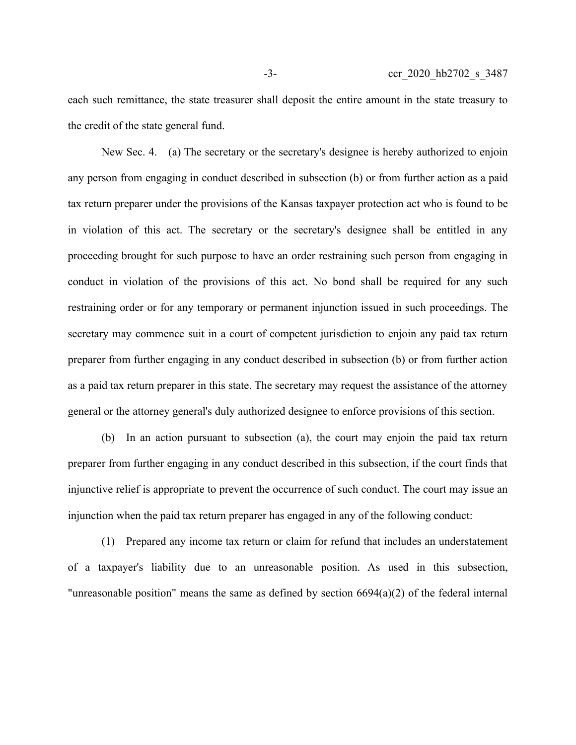each such remittance, the state treasurer shall deposit the entire amount in the state treasury to the credit of the state general fund.

New Sec. 4. (a) The secretary or the secretary's designee is hereby authorized to enjoin any person from engaging in conduct described in subsection (b) or from further action as a paid tax return preparer under the provisions of the Kansas taxpayer protection act who is found to be in violation of this act. The secretary or the secretary's designee shall be entitled in any proceeding brought for such purpose to have an order restraining such person from engaging in conduct in violation of the provisions of this act. No bond shall be required for any such restraining order or for any temporary or permanent injunction issued in such proceedings. The secretary may commence suit in a court of competent jurisdiction to enjoin any paid tax return preparer from further engaging in any conduct described in subsection (b) or from further action as a paid tax return preparer in this state. The secretary may request the assistance of the attorney general or the attorney general's duly authorized designee to enforce provisions of this section.

(b) In an action pursuant to subsection (a), the court may enjoin the paid tax return preparer from further engaging in any conduct described in this subsection, if the court finds that injunctive relief is appropriate to prevent the occurrence of such conduct. The court may issue an injunction when the paid tax return preparer has engaged in any of the following conduct:

(1) Prepared any income tax return or claim for refund that includes an understatement of a taxpayer's liability due to an unreasonable position. As used in this subsection, "unreasonable position" means the same as defined by section 6694(a)(2) of the federal internal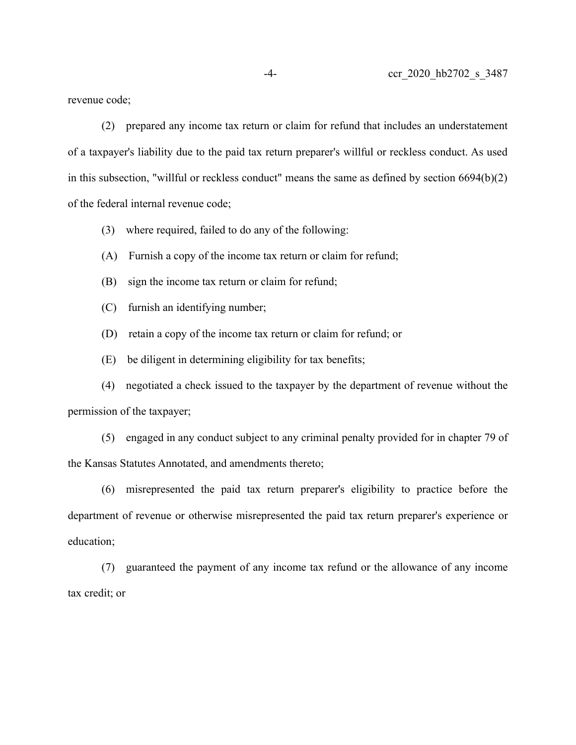revenue code;

(2) prepared any income tax return or claim for refund that includes an understatement of a taxpayer's liability due to the paid tax return preparer's willful or reckless conduct. As used in this subsection, "willful or reckless conduct" means the same as defined by section 6694(b)(2) of the federal internal revenue code;

- (3) where required, failed to do any of the following:
- (A) Furnish a copy of the income tax return or claim for refund;
- (B) sign the income tax return or claim for refund;
- (C) furnish an identifying number;
- (D) retain a copy of the income tax return or claim for refund; or
- (E) be diligent in determining eligibility for tax benefits;

(4) negotiated a check issued to the taxpayer by the department of revenue without the permission of the taxpayer;

(5) engaged in any conduct subject to any criminal penalty provided for in chapter 79 of the Kansas Statutes Annotated, and amendments thereto;

(6) misrepresented the paid tax return preparer's eligibility to practice before the department of revenue or otherwise misrepresented the paid tax return preparer's experience or education;

(7) guaranteed the payment of any income tax refund or the allowance of any income tax credit; or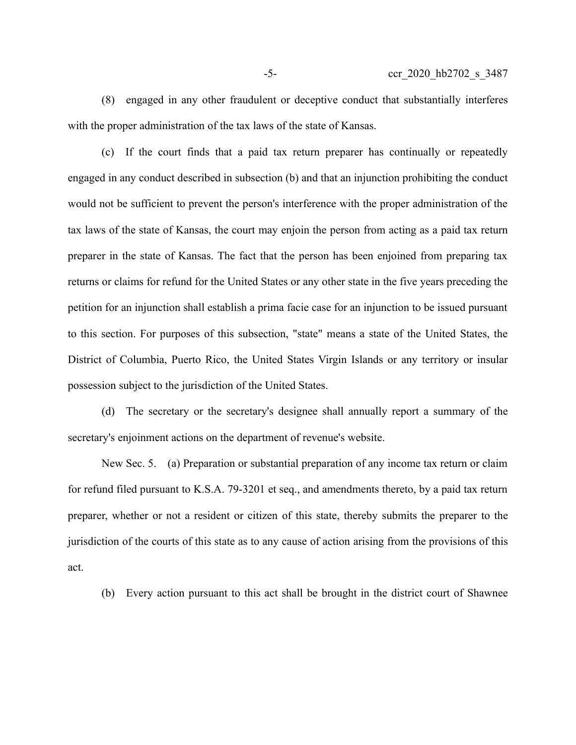(8) engaged in any other fraudulent or deceptive conduct that substantially interferes with the proper administration of the tax laws of the state of Kansas.

(c) If the court finds that a paid tax return preparer has continually or repeatedly engaged in any conduct described in subsection (b) and that an injunction prohibiting the conduct would not be sufficient to prevent the person's interference with the proper administration of the tax laws of the state of Kansas, the court may enjoin the person from acting as a paid tax return preparer in the state of Kansas. The fact that the person has been enjoined from preparing tax returns or claims for refund for the United States or any other state in the five years preceding the petition for an injunction shall establish a prima facie case for an injunction to be issued pursuant to this section. For purposes of this subsection, "state" means a state of the United States, the District of Columbia, Puerto Rico, the United States Virgin Islands or any territory or insular possession subject to the jurisdiction of the United States.

(d) The secretary or the secretary's designee shall annually report a summary of the secretary's enjoinment actions on the department of revenue's website.

New Sec. 5. (a) Preparation or substantial preparation of any income tax return or claim for refund filed pursuant to K.S.A. 79-3201 et seq., and amendments thereto, by a paid tax return preparer, whether or not a resident or citizen of this state, thereby submits the preparer to the jurisdiction of the courts of this state as to any cause of action arising from the provisions of this act.

(b) Every action pursuant to this act shall be brought in the district court of Shawnee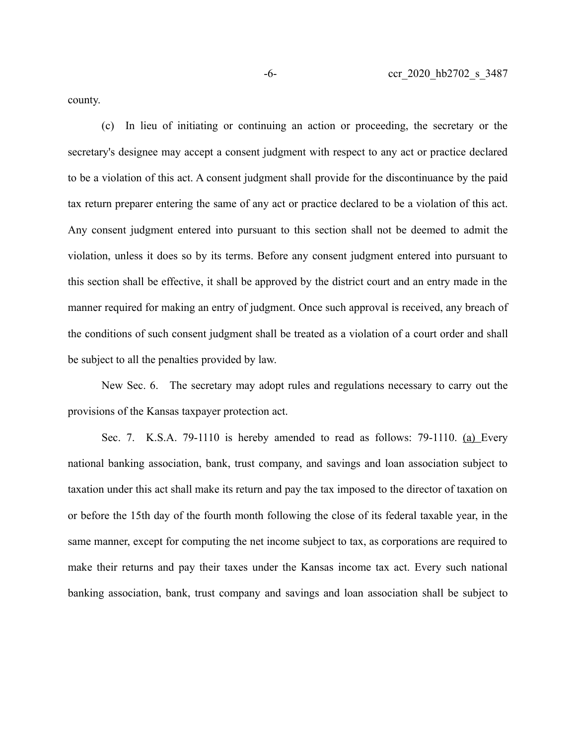county.

(c) In lieu of initiating or continuing an action or proceeding, the secretary or the secretary's designee may accept a consent judgment with respect to any act or practice declared to be a violation of this act. A consent judgment shall provide for the discontinuance by the paid tax return preparer entering the same of any act or practice declared to be a violation of this act. Any consent judgment entered into pursuant to this section shall not be deemed to admit the violation, unless it does so by its terms. Before any consent judgment entered into pursuant to this section shall be effective, it shall be approved by the district court and an entry made in the manner required for making an entry of judgment. Once such approval is received, any breach of the conditions of such consent judgment shall be treated as a violation of a court order and shall be subject to all the penalties provided by law.

New Sec. 6. The secretary may adopt rules and regulations necessary to carry out the provisions of the Kansas taxpayer protection act.

Sec. 7. K.S.A. 79-1110 is hereby amended to read as follows: 79-1110. (a) Every national banking association, bank, trust company, and savings and loan association subject to taxation under this act shall make its return and pay the tax imposed to the director of taxation on or before the 15th day of the fourth month following the close of its federal taxable year, in the same manner, except for computing the net income subject to tax, as corporations are required to make their returns and pay their taxes under the Kansas income tax act. Every such national banking association, bank, trust company and savings and loan association shall be subject to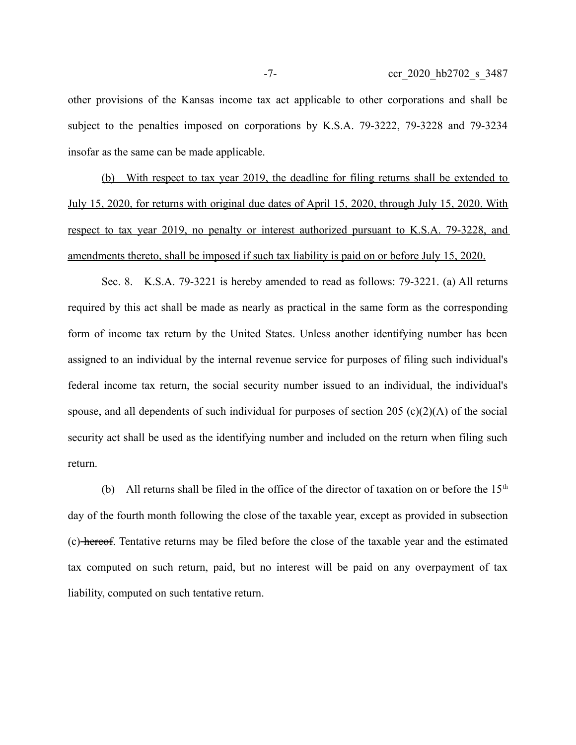other provisions of the Kansas income tax act applicable to other corporations and shall be subject to the penalties imposed on corporations by K.S.A. 79-3222, 79-3228 and 79-3234 insofar as the same can be made applicable.

(b) With respect to tax year 2019, the deadline for filing returns shall be extended to July 15, 2020, for returns with original due dates of April 15, 2020, through July 15, 2020. With respect to tax year 2019, no penalty or interest authorized pursuant to K.S.A. 79-3228, and amendments thereto, shall be imposed if such tax liability is paid on or before July 15, 2020.

Sec. 8. K.S.A. 79-3221 is hereby amended to read as follows: 79-3221. (a) All returns required by this act shall be made as nearly as practical in the same form as the corresponding form of income tax return by the United States. Unless another identifying number has been assigned to an individual by the internal revenue service for purposes of filing such individual's federal income tax return, the social security number issued to an individual, the individual's spouse, and all dependents of such individual for purposes of section 205 (c)(2)(A) of the social security act shall be used as the identifying number and included on the return when filing such return.

(b) All returns shall be filed in the office of the director of taxation on or before the  $15<sup>th</sup>$ day of the fourth month following the close of the taxable year, except as provided in subsection (c) hereof. Tentative returns may be filed before the close of the taxable year and the estimated tax computed on such return, paid, but no interest will be paid on any overpayment of tax liability, computed on such tentative return.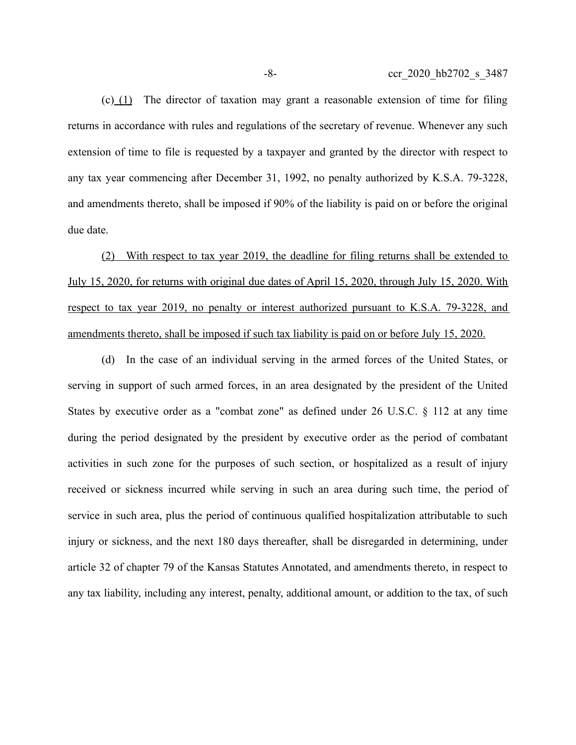$(c)$  (1) The director of taxation may grant a reasonable extension of time for filing returns in accordance with rules and regulations of the secretary of revenue. Whenever any such extension of time to file is requested by a taxpayer and granted by the director with respect to any tax year commencing after December 31, 1992, no penalty authorized by K.S.A. 79-3228, and amendments thereto, shall be imposed if 90% of the liability is paid on or before the original due date.

(2) With respect to tax year 2019, the deadline for filing returns shall be extended to July 15, 2020, for returns with original due dates of April 15, 2020, through July 15, 2020. With respect to tax year 2019, no penalty or interest authorized pursuant to K.S.A. 79-3228, and amendments thereto, shall be imposed if such tax liability is paid on or before July 15, 2020.

(d) In the case of an individual serving in the armed forces of the United States, or serving in support of such armed forces, in an area designated by the president of the United States by executive order as a "combat zone" as defined under 26 U.S.C. § 112 at any time during the period designated by the president by executive order as the period of combatant activities in such zone for the purposes of such section, or hospitalized as a result of injury received or sickness incurred while serving in such an area during such time, the period of service in such area, plus the period of continuous qualified hospitalization attributable to such injury or sickness, and the next 180 days thereafter, shall be disregarded in determining, under article 32 of chapter 79 of the Kansas Statutes Annotated, and amendments thereto, in respect to any tax liability, including any interest, penalty, additional amount, or addition to the tax, of such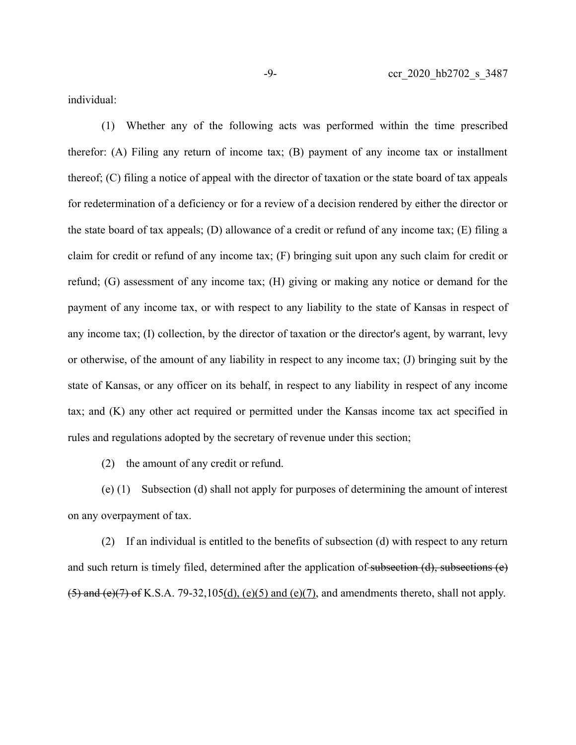individual:

(1) Whether any of the following acts was performed within the time prescribed therefor: (A) Filing any return of income tax; (B) payment of any income tax or installment thereof; (C) filing a notice of appeal with the director of taxation or the state board of tax appeals for redetermination of a deficiency or for a review of a decision rendered by either the director or the state board of tax appeals; (D) allowance of a credit or refund of any income tax; (E) filing a claim for credit or refund of any income tax; (F) bringing suit upon any such claim for credit or refund; (G) assessment of any income tax; (H) giving or making any notice or demand for the payment of any income tax, or with respect to any liability to the state of Kansas in respect of any income tax; (I) collection, by the director of taxation or the director's agent, by warrant, levy or otherwise, of the amount of any liability in respect to any income tax; (J) bringing suit by the state of Kansas, or any officer on its behalf, in respect to any liability in respect of any income tax; and (K) any other act required or permitted under the Kansas income tax act specified in rules and regulations adopted by the secretary of revenue under this section;

(2) the amount of any credit or refund.

(e) (1) Subsection (d) shall not apply for purposes of determining the amount of interest on any overpayment of tax.

(2) If an individual is entitled to the benefits of subsection (d) with respect to any return and such return is timely filed, determined after the application of subsection (d), subsections (e)  $(5)$  and  $(e)(7)$  of K.S.A. 79-32,105(d), (e)(5) and (e)(7), and amendments thereto, shall not apply.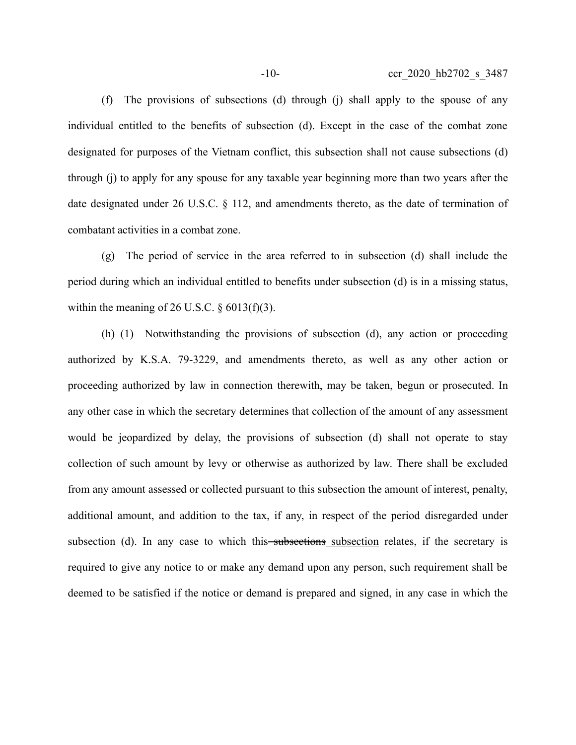(f) The provisions of subsections (d) through (j) shall apply to the spouse of any individual entitled to the benefits of subsection (d). Except in the case of the combat zone designated for purposes of the Vietnam conflict, this subsection shall not cause subsections (d) through (j) to apply for any spouse for any taxable year beginning more than two years after the date designated under 26 U.S.C. § 112, and amendments thereto, as the date of termination of combatant activities in a combat zone.

(g) The period of service in the area referred to in subsection (d) shall include the period during which an individual entitled to benefits under subsection (d) is in a missing status, within the meaning of 26 U.S.C.  $\S$  6013(f)(3).

(h) (1) Notwithstanding the provisions of subsection (d), any action or proceeding authorized by K.S.A. 79-3229, and amendments thereto, as well as any other action or proceeding authorized by law in connection therewith, may be taken, begun or prosecuted. In any other case in which the secretary determines that collection of the amount of any assessment would be jeopardized by delay, the provisions of subsection (d) shall not operate to stay collection of such amount by levy or otherwise as authorized by law. There shall be excluded from any amount assessed or collected pursuant to this subsection the amount of interest, penalty, additional amount, and addition to the tax, if any, in respect of the period disregarded under subsection (d). In any case to which this subsections subsection relates, if the secretary is required to give any notice to or make any demand upon any person, such requirement shall be deemed to be satisfied if the notice or demand is prepared and signed, in any case in which the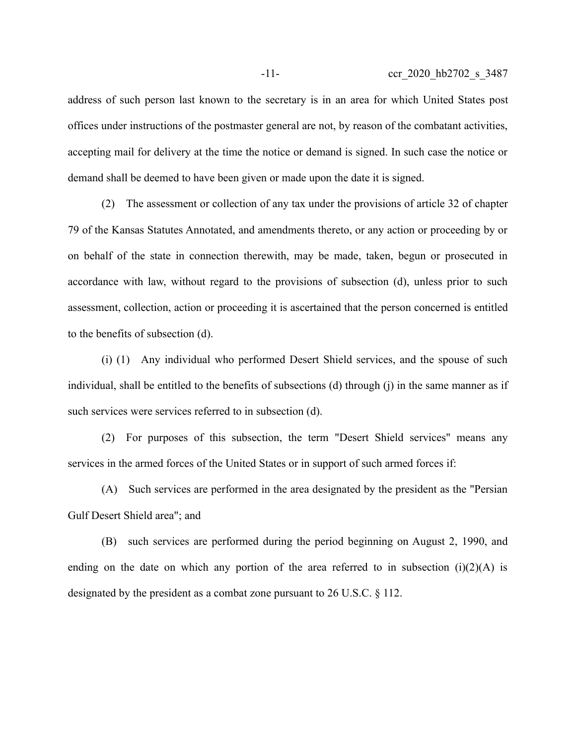address of such person last known to the secretary is in an area for which United States post offices under instructions of the postmaster general are not, by reason of the combatant activities, accepting mail for delivery at the time the notice or demand is signed. In such case the notice or demand shall be deemed to have been given or made upon the date it is signed.

(2) The assessment or collection of any tax under the provisions of article 32 of chapter 79 of the Kansas Statutes Annotated, and amendments thereto, or any action or proceeding by or on behalf of the state in connection therewith, may be made, taken, begun or prosecuted in accordance with law, without regard to the provisions of subsection (d), unless prior to such assessment, collection, action or proceeding it is ascertained that the person concerned is entitled to the benefits of subsection (d).

(i) (1) Any individual who performed Desert Shield services, and the spouse of such individual, shall be entitled to the benefits of subsections (d) through (j) in the same manner as if such services were services referred to in subsection (d).

(2) For purposes of this subsection, the term "Desert Shield services" means any services in the armed forces of the United States or in support of such armed forces if:

(A) Such services are performed in the area designated by the president as the "Persian Gulf Desert Shield area"; and

(B) such services are performed during the period beginning on August 2, 1990, and ending on the date on which any portion of the area referred to in subsection  $(i)(2)(A)$  is designated by the president as a combat zone pursuant to 26 U.S.C. § 112.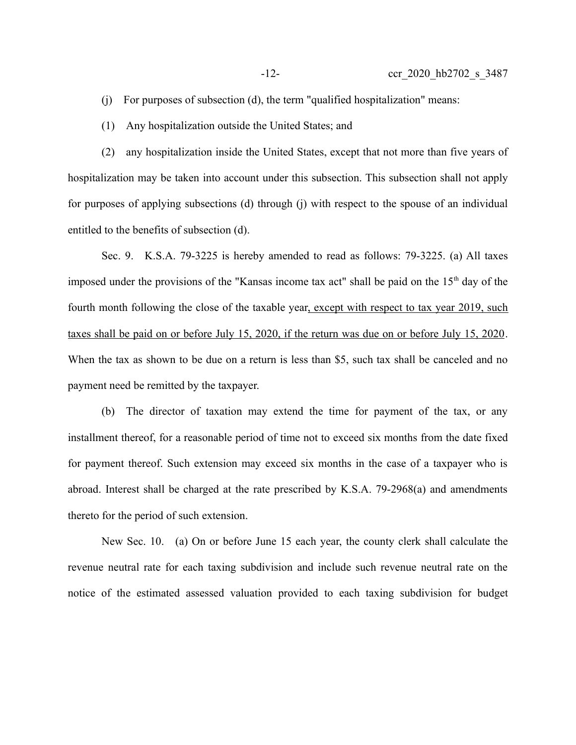- (j) For purposes of subsection (d), the term "qualified hospitalization" means:
- (1) Any hospitalization outside the United States; and

(2) any hospitalization inside the United States, except that not more than five years of hospitalization may be taken into account under this subsection. This subsection shall not apply for purposes of applying subsections (d) through (j) with respect to the spouse of an individual entitled to the benefits of subsection (d).

Sec. 9. K.S.A. 79-3225 is hereby amended to read as follows: 79-3225. (a) All taxes imposed under the provisions of the "Kansas income tax act" shall be paid on the  $15<sup>th</sup>$  day of the fourth month following the close of the taxable year, except with respect to tax year 2019, such taxes shall be paid on or before July 15, 2020, if the return was due on or before July 15, 2020. When the tax as shown to be due on a return is less than \$5, such tax shall be canceled and no payment need be remitted by the taxpayer.

(b) The director of taxation may extend the time for payment of the tax, or any installment thereof, for a reasonable period of time not to exceed six months from the date fixed for payment thereof. Such extension may exceed six months in the case of a taxpayer who is abroad. Interest shall be charged at the rate prescribed by K.S.A. 79-2968(a) and amendments thereto for the period of such extension.

New Sec. 10. (a) On or before June 15 each year, the county clerk shall calculate the revenue neutral rate for each taxing subdivision and include such revenue neutral rate on the notice of the estimated assessed valuation provided to each taxing subdivision for budget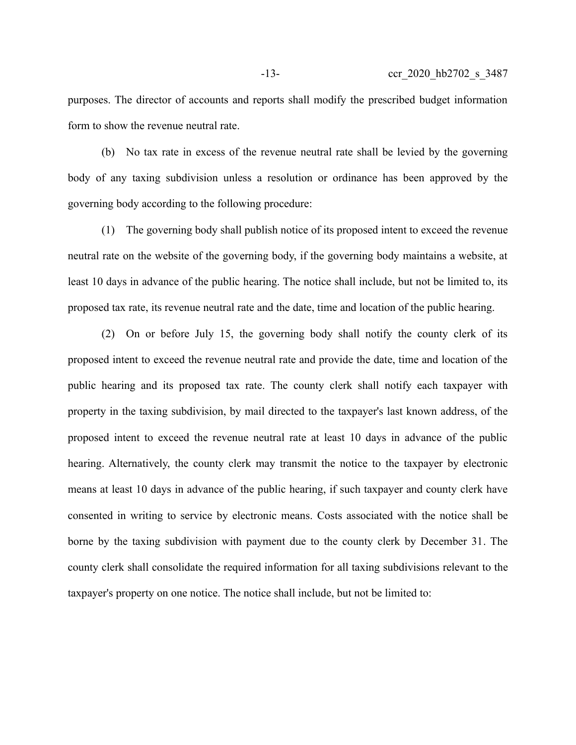purposes. The director of accounts and reports shall modify the prescribed budget information form to show the revenue neutral rate.

(b) No tax rate in excess of the revenue neutral rate shall be levied by the governing body of any taxing subdivision unless a resolution or ordinance has been approved by the governing body according to the following procedure:

(1) The governing body shall publish notice of its proposed intent to exceed the revenue neutral rate on the website of the governing body, if the governing body maintains a website, at least 10 days in advance of the public hearing. The notice shall include, but not be limited to, its proposed tax rate, its revenue neutral rate and the date, time and location of the public hearing.

(2) On or before July 15, the governing body shall notify the county clerk of its proposed intent to exceed the revenue neutral rate and provide the date, time and location of the public hearing and its proposed tax rate. The county clerk shall notify each taxpayer with property in the taxing subdivision, by mail directed to the taxpayer's last known address, of the proposed intent to exceed the revenue neutral rate at least 10 days in advance of the public hearing. Alternatively, the county clerk may transmit the notice to the taxpayer by electronic means at least 10 days in advance of the public hearing, if such taxpayer and county clerk have consented in writing to service by electronic means. Costs associated with the notice shall be borne by the taxing subdivision with payment due to the county clerk by December 31. The county clerk shall consolidate the required information for all taxing subdivisions relevant to the taxpayer's property on one notice. The notice shall include, but not be limited to: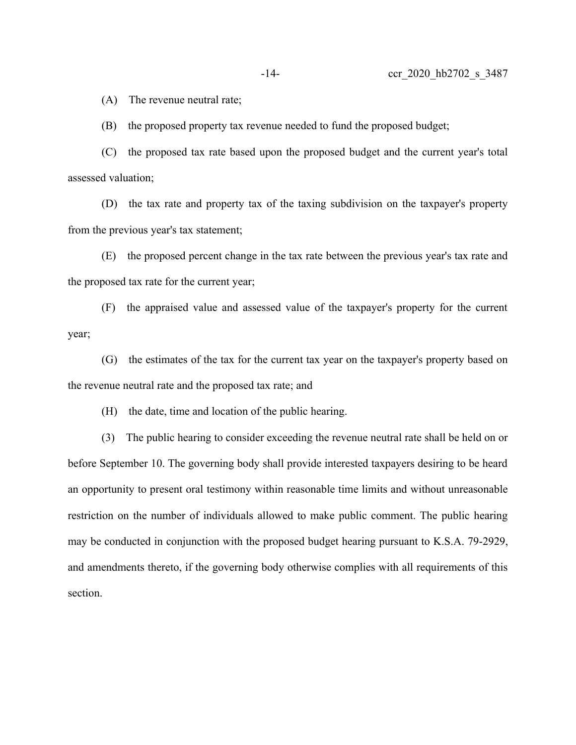(A) The revenue neutral rate;

(B) the proposed property tax revenue needed to fund the proposed budget;

(C) the proposed tax rate based upon the proposed budget and the current year's total assessed valuation;

(D) the tax rate and property tax of the taxing subdivision on the taxpayer's property from the previous year's tax statement;

(E) the proposed percent change in the tax rate between the previous year's tax rate and the proposed tax rate for the current year;

(F) the appraised value and assessed value of the taxpayer's property for the current year;

(G) the estimates of the tax for the current tax year on the taxpayer's property based on the revenue neutral rate and the proposed tax rate; and

(H) the date, time and location of the public hearing.

(3) The public hearing to consider exceeding the revenue neutral rate shall be held on or before September 10. The governing body shall provide interested taxpayers desiring to be heard an opportunity to present oral testimony within reasonable time limits and without unreasonable restriction on the number of individuals allowed to make public comment. The public hearing may be conducted in conjunction with the proposed budget hearing pursuant to K.S.A. 79-2929, and amendments thereto, if the governing body otherwise complies with all requirements of this section.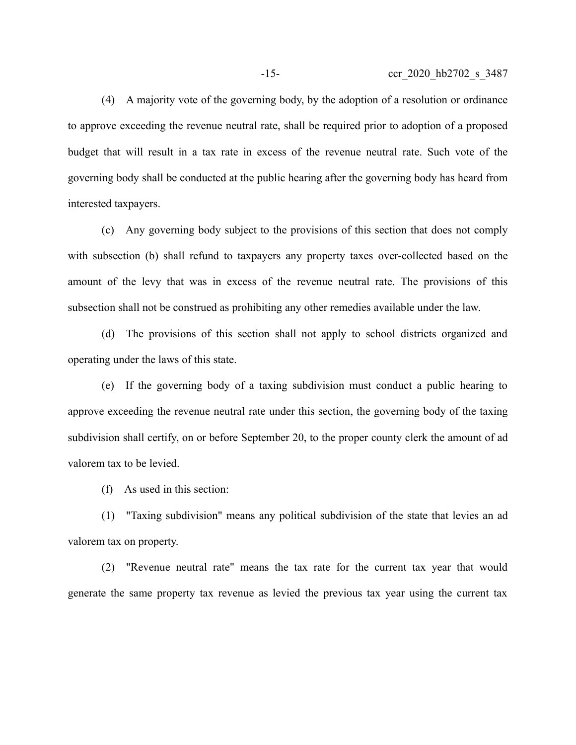(4) A majority vote of the governing body, by the adoption of a resolution or ordinance to approve exceeding the revenue neutral rate, shall be required prior to adoption of a proposed budget that will result in a tax rate in excess of the revenue neutral rate. Such vote of the governing body shall be conducted at the public hearing after the governing body has heard from interested taxpayers.

(c) Any governing body subject to the provisions of this section that does not comply with subsection (b) shall refund to taxpayers any property taxes over-collected based on the amount of the levy that was in excess of the revenue neutral rate. The provisions of this subsection shall not be construed as prohibiting any other remedies available under the law.

(d) The provisions of this section shall not apply to school districts organized and operating under the laws of this state.

(e) If the governing body of a taxing subdivision must conduct a public hearing to approve exceeding the revenue neutral rate under this section, the governing body of the taxing subdivision shall certify, on or before September 20, to the proper county clerk the amount of ad valorem tax to be levied.

(f) As used in this section:

(1) "Taxing subdivision" means any political subdivision of the state that levies an ad valorem tax on property.

(2) "Revenue neutral rate" means the tax rate for the current tax year that would generate the same property tax revenue as levied the previous tax year using the current tax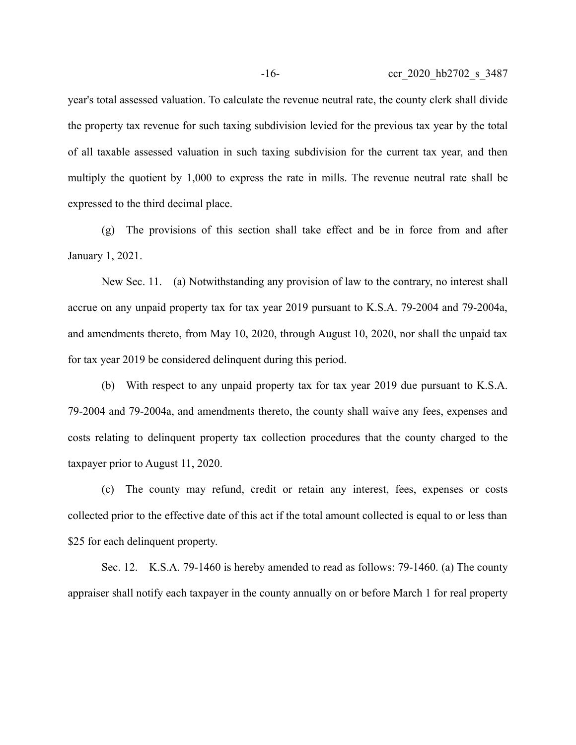year's total assessed valuation. To calculate the revenue neutral rate, the county clerk shall divide the property tax revenue for such taxing subdivision levied for the previous tax year by the total of all taxable assessed valuation in such taxing subdivision for the current tax year, and then multiply the quotient by 1,000 to express the rate in mills. The revenue neutral rate shall be expressed to the third decimal place.

(g) The provisions of this section shall take effect and be in force from and after January 1, 2021.

New Sec. 11. (a) Notwithstanding any provision of law to the contrary, no interest shall accrue on any unpaid property tax for tax year 2019 pursuant to K.S.A. 79-2004 and 79-2004a, and amendments thereto, from May 10, 2020, through August 10, 2020, nor shall the unpaid tax for tax year 2019 be considered delinquent during this period.

(b) With respect to any unpaid property tax for tax year 2019 due pursuant to K.S.A. 79-2004 and 79-2004a, and amendments thereto, the county shall waive any fees, expenses and costs relating to delinquent property tax collection procedures that the county charged to the taxpayer prior to August 11, 2020.

(c) The county may refund, credit or retain any interest, fees, expenses or costs collected prior to the effective date of this act if the total amount collected is equal to or less than \$25 for each delinquent property.

Sec. 12. K.S.A. 79-1460 is hereby amended to read as follows: 79-1460. (a) The county appraiser shall notify each taxpayer in the county annually on or before March 1 for real property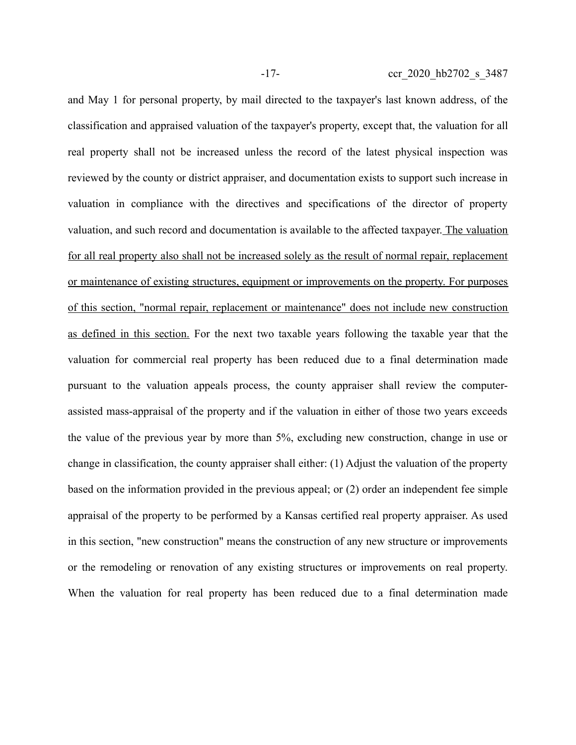and May 1 for personal property, by mail directed to the taxpayer's last known address, of the classification and appraised valuation of the taxpayer's property, except that, the valuation for all real property shall not be increased unless the record of the latest physical inspection was reviewed by the county or district appraiser, and documentation exists to support such increase in valuation in compliance with the directives and specifications of the director of property valuation, and such record and documentation is available to the affected taxpayer. The valuation for all real property also shall not be increased solely as the result of normal repair, replacement or maintenance of existing structures, equipment or improvements on the property. For purposes of this section, "normal repair, replacement or maintenance" does not include new construction as defined in this section. For the next two taxable years following the taxable year that the valuation for commercial real property has been reduced due to a final determination made pursuant to the valuation appeals process, the county appraiser shall review the computerassisted mass-appraisal of the property and if the valuation in either of those two years exceeds the value of the previous year by more than 5%, excluding new construction, change in use or change in classification, the county appraiser shall either: (1) Adjust the valuation of the property based on the information provided in the previous appeal; or (2) order an independent fee simple appraisal of the property to be performed by a Kansas certified real property appraiser. As used in this section, "new construction" means the construction of any new structure or improvements or the remodeling or renovation of any existing structures or improvements on real property. When the valuation for real property has been reduced due to a final determination made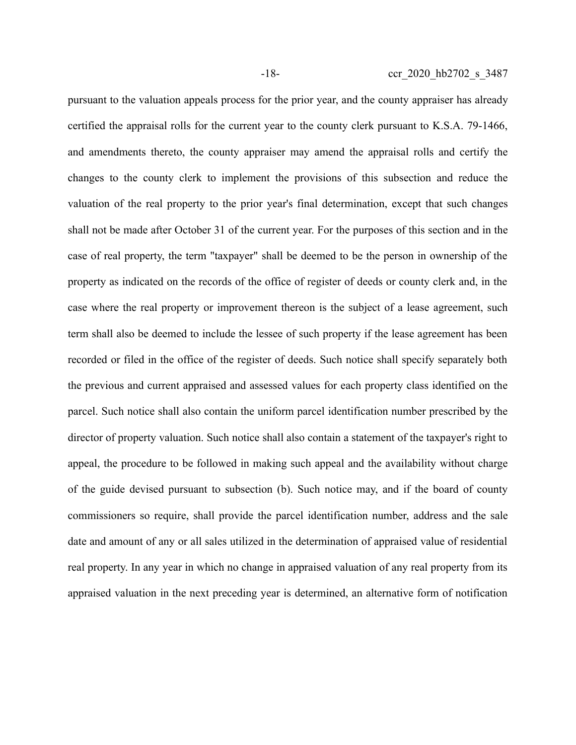pursuant to the valuation appeals process for the prior year, and the county appraiser has already certified the appraisal rolls for the current year to the county clerk pursuant to K.S.A. 79-1466, and amendments thereto, the county appraiser may amend the appraisal rolls and certify the changes to the county clerk to implement the provisions of this subsection and reduce the valuation of the real property to the prior year's final determination, except that such changes shall not be made after October 31 of the current year. For the purposes of this section and in the case of real property, the term "taxpayer" shall be deemed to be the person in ownership of the property as indicated on the records of the office of register of deeds or county clerk and, in the case where the real property or improvement thereon is the subject of a lease agreement, such term shall also be deemed to include the lessee of such property if the lease agreement has been recorded or filed in the office of the register of deeds. Such notice shall specify separately both the previous and current appraised and assessed values for each property class identified on the parcel. Such notice shall also contain the uniform parcel identification number prescribed by the director of property valuation. Such notice shall also contain a statement of the taxpayer's right to appeal, the procedure to be followed in making such appeal and the availability without charge of the guide devised pursuant to subsection (b). Such notice may, and if the board of county commissioners so require, shall provide the parcel identification number, address and the sale date and amount of any or all sales utilized in the determination of appraised value of residential real property. In any year in which no change in appraised valuation of any real property from its appraised valuation in the next preceding year is determined, an alternative form of notification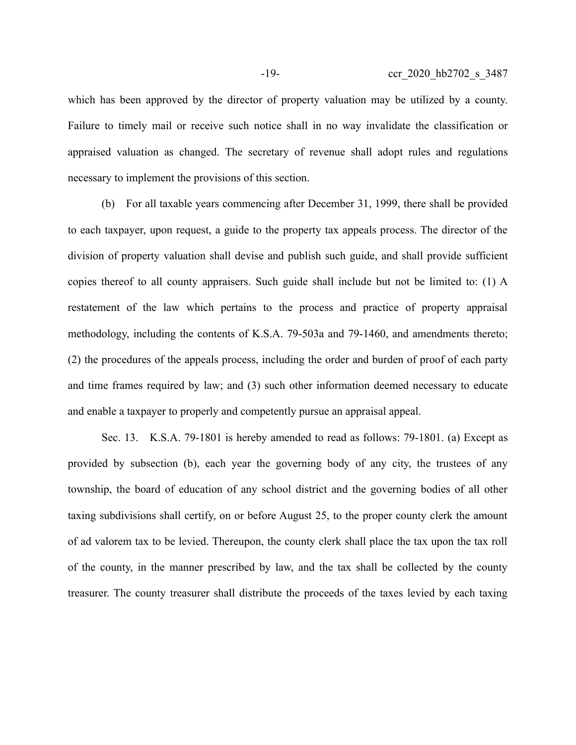which has been approved by the director of property valuation may be utilized by a county. Failure to timely mail or receive such notice shall in no way invalidate the classification or appraised valuation as changed. The secretary of revenue shall adopt rules and regulations necessary to implement the provisions of this section.

(b) For all taxable years commencing after December 31, 1999, there shall be provided to each taxpayer, upon request, a guide to the property tax appeals process. The director of the division of property valuation shall devise and publish such guide, and shall provide sufficient copies thereof to all county appraisers. Such guide shall include but not be limited to: (1) A restatement of the law which pertains to the process and practice of property appraisal methodology, including the contents of K.S.A. 79-503a and 79-1460, and amendments thereto; (2) the procedures of the appeals process, including the order and burden of proof of each party and time frames required by law; and (3) such other information deemed necessary to educate and enable a taxpayer to properly and competently pursue an appraisal appeal.

Sec. 13. K.S.A. 79-1801 is hereby amended to read as follows: 79-1801. (a) Except as provided by subsection (b), each year the governing body of any city, the trustees of any township, the board of education of any school district and the governing bodies of all other taxing subdivisions shall certify, on or before August 25, to the proper county clerk the amount of ad valorem tax to be levied. Thereupon, the county clerk shall place the tax upon the tax roll of the county, in the manner prescribed by law, and the tax shall be collected by the county treasurer. The county treasurer shall distribute the proceeds of the taxes levied by each taxing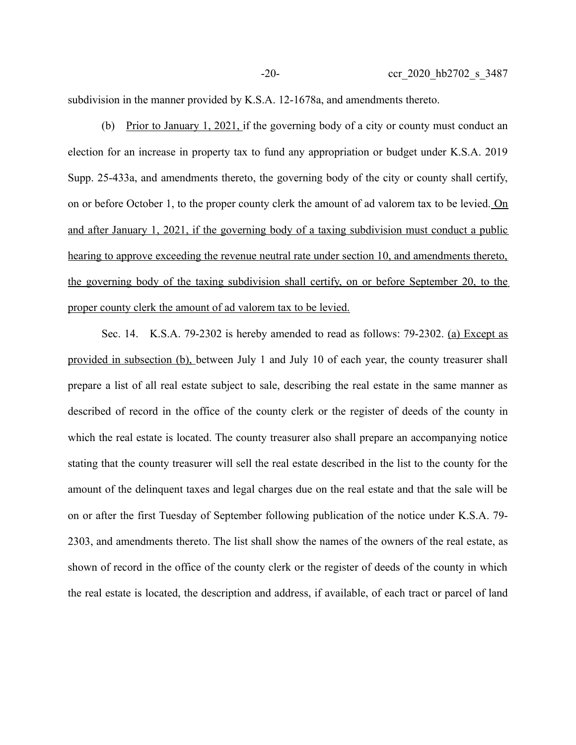subdivision in the manner provided by K.S.A. 12-1678a, and amendments thereto.

(b) Prior to January 1, 2021, if the governing body of a city or county must conduct an election for an increase in property tax to fund any appropriation or budget under K.S.A. 2019 Supp. 25-433a, and amendments thereto, the governing body of the city or county shall certify, on or before October 1, to the proper county clerk the amount of ad valorem tax to be levied. On and after January 1, 2021, if the governing body of a taxing subdivision must conduct a public hearing to approve exceeding the revenue neutral rate under section 10, and amendments thereto, the governing body of the taxing subdivision shall certify, on or before September 20, to the proper county clerk the amount of ad valorem tax to be levied.

Sec. 14. K.S.A. 79-2302 is hereby amended to read as follows: 79-2302. (a) Except as provided in subsection (b), between July 1 and July 10 of each year, the county treasurer shall prepare a list of all real estate subject to sale, describing the real estate in the same manner as described of record in the office of the county clerk or the register of deeds of the county in which the real estate is located. The county treasurer also shall prepare an accompanying notice stating that the county treasurer will sell the real estate described in the list to the county for the amount of the delinquent taxes and legal charges due on the real estate and that the sale will be on or after the first Tuesday of September following publication of the notice under K.S.A. 79- 2303, and amendments thereto. The list shall show the names of the owners of the real estate, as shown of record in the office of the county clerk or the register of deeds of the county in which the real estate is located, the description and address, if available, of each tract or parcel of land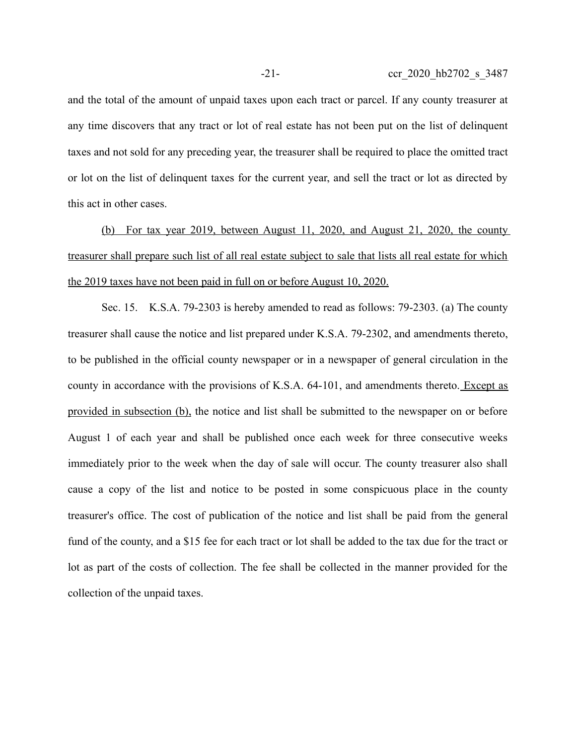and the total of the amount of unpaid taxes upon each tract or parcel. If any county treasurer at any time discovers that any tract or lot of real estate has not been put on the list of delinquent taxes and not sold for any preceding year, the treasurer shall be required to place the omitted tract or lot on the list of delinquent taxes for the current year, and sell the tract or lot as directed by this act in other cases.

(b) For tax year 2019, between August 11, 2020, and August 21, 2020, the county treasurer shall prepare such list of all real estate subject to sale that lists all real estate for which the 2019 taxes have not been paid in full on or before August 10, 2020.

Sec. 15. K.S.A. 79-2303 is hereby amended to read as follows: 79-2303. (a) The county treasurer shall cause the notice and list prepared under K.S.A. 79-2302, and amendments thereto, to be published in the official county newspaper or in a newspaper of general circulation in the county in accordance with the provisions of K.S.A. 64-101, and amendments thereto. Except as provided in subsection (b), the notice and list shall be submitted to the newspaper on or before August 1 of each year and shall be published once each week for three consecutive weeks immediately prior to the week when the day of sale will occur. The county treasurer also shall cause a copy of the list and notice to be posted in some conspicuous place in the county treasurer's office. The cost of publication of the notice and list shall be paid from the general fund of the county, and a \$15 fee for each tract or lot shall be added to the tax due for the tract or lot as part of the costs of collection. The fee shall be collected in the manner provided for the collection of the unpaid taxes.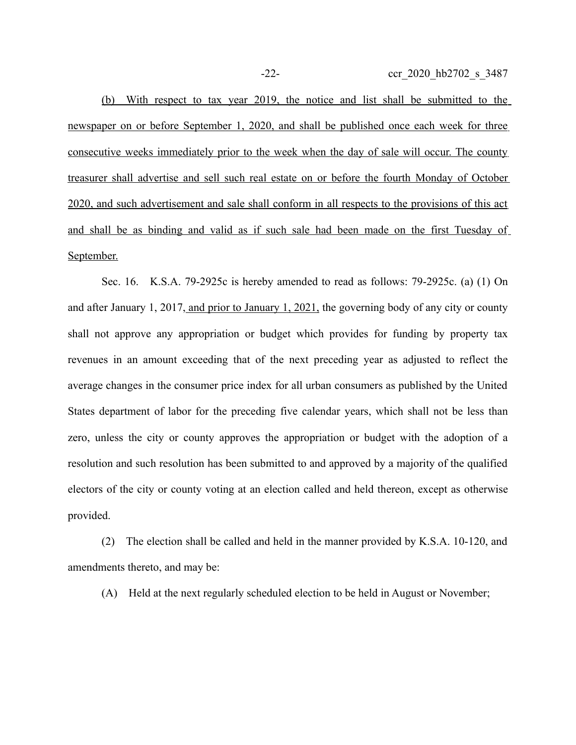-22- ccr\_2020\_hb2702\_s\_3487

(b) With respect to tax year 2019, the notice and list shall be submitted to the newspaper on or before September 1, 2020, and shall be published once each week for three consecutive weeks immediately prior to the week when the day of sale will occur. The county treasurer shall advertise and sell such real estate on or before the fourth Monday of October 2020, and such advertisement and sale shall conform in all respects to the provisions of this act and shall be as binding and valid as if such sale had been made on the first Tuesday of September.

Sec. 16. K.S.A. 79-2925c is hereby amended to read as follows: 79-2925c. (a) (1) On and after January 1, 2017, and prior to January 1, 2021, the governing body of any city or county shall not approve any appropriation or budget which provides for funding by property tax revenues in an amount exceeding that of the next preceding year as adjusted to reflect the average changes in the consumer price index for all urban consumers as published by the United States department of labor for the preceding five calendar years, which shall not be less than zero, unless the city or county approves the appropriation or budget with the adoption of a resolution and such resolution has been submitted to and approved by a majority of the qualified electors of the city or county voting at an election called and held thereon, except as otherwise provided.

(2) The election shall be called and held in the manner provided by K.S.A. 10-120, and amendments thereto, and may be:

(A) Held at the next regularly scheduled election to be held in August or November;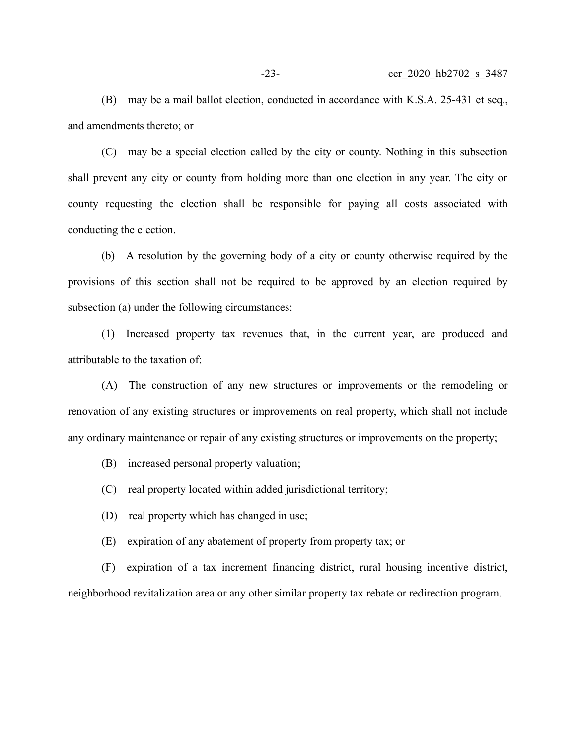(B) may be a mail ballot election, conducted in accordance with K.S.A. 25-431 et seq., and amendments thereto; or

(C) may be a special election called by the city or county. Nothing in this subsection shall prevent any city or county from holding more than one election in any year. The city or county requesting the election shall be responsible for paying all costs associated with conducting the election.

(b) A resolution by the governing body of a city or county otherwise required by the provisions of this section shall not be required to be approved by an election required by subsection (a) under the following circumstances:

(1) Increased property tax revenues that, in the current year, are produced and attributable to the taxation of:

(A) The construction of any new structures or improvements or the remodeling or renovation of any existing structures or improvements on real property, which shall not include any ordinary maintenance or repair of any existing structures or improvements on the property;

(B) increased personal property valuation;

(C) real property located within added jurisdictional territory;

(D) real property which has changed in use;

(E) expiration of any abatement of property from property tax; or

(F) expiration of a tax increment financing district, rural housing incentive district, neighborhood revitalization area or any other similar property tax rebate or redirection program.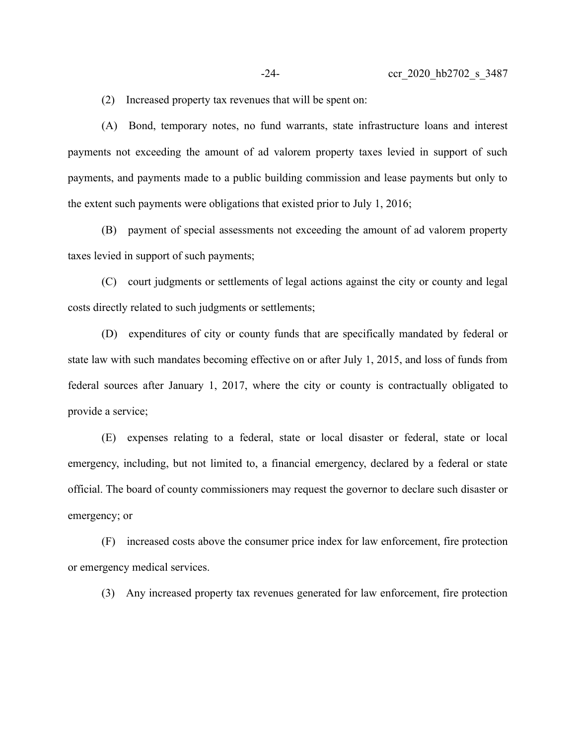(2) Increased property tax revenues that will be spent on:

(A) Bond, temporary notes, no fund warrants, state infrastructure loans and interest payments not exceeding the amount of ad valorem property taxes levied in support of such payments, and payments made to a public building commission and lease payments but only to the extent such payments were obligations that existed prior to July 1, 2016;

(B) payment of special assessments not exceeding the amount of ad valorem property taxes levied in support of such payments;

(C) court judgments or settlements of legal actions against the city or county and legal costs directly related to such judgments or settlements;

(D) expenditures of city or county funds that are specifically mandated by federal or state law with such mandates becoming effective on or after July 1, 2015, and loss of funds from federal sources after January 1, 2017, where the city or county is contractually obligated to provide a service;

(E) expenses relating to a federal, state or local disaster or federal, state or local emergency, including, but not limited to, a financial emergency, declared by a federal or state official. The board of county commissioners may request the governor to declare such disaster or emergency; or

(F) increased costs above the consumer price index for law enforcement, fire protection or emergency medical services.

(3) Any increased property tax revenues generated for law enforcement, fire protection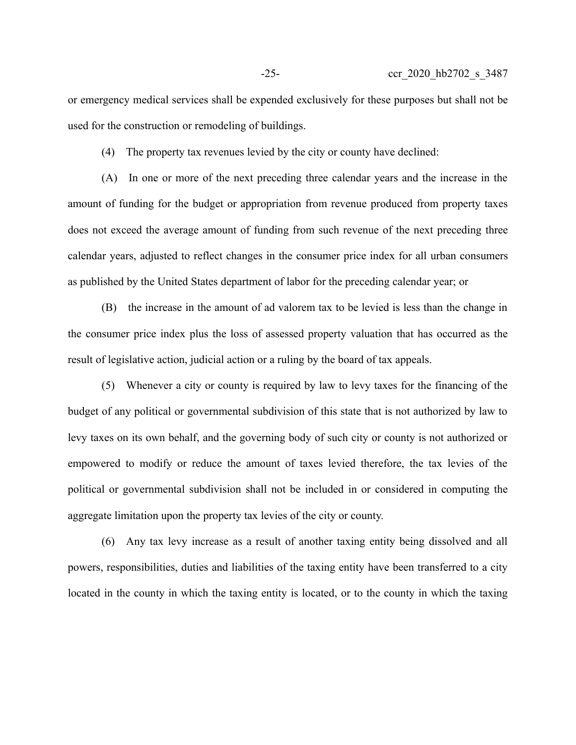or emergency medical services shall be expended exclusively for these purposes but shall not be used for the construction or remodeling of buildings.

(4) The property tax revenues levied by the city or county have declined:

(A) In one or more of the next preceding three calendar years and the increase in the amount of funding for the budget or appropriation from revenue produced from property taxes does not exceed the average amount of funding from such revenue of the next preceding three calendar years, adjusted to reflect changes in the consumer price index for all urban consumers as published by the United States department of labor for the preceding calendar year; or

(B) the increase in the amount of ad valorem tax to be levied is less than the change in the consumer price index plus the loss of assessed property valuation that has occurred as the result of legislative action, judicial action or a ruling by the board of tax appeals.

(5) Whenever a city or county is required by law to levy taxes for the financing of the budget of any political or governmental subdivision of this state that is not authorized by law to levy taxes on its own behalf, and the governing body of such city or county is not authorized or empowered to modify or reduce the amount of taxes levied therefore, the tax levies of the political or governmental subdivision shall not be included in or considered in computing the aggregate limitation upon the property tax levies of the city or county.

(6) Any tax levy increase as a result of another taxing entity being dissolved and all powers, responsibilities, duties and liabilities of the taxing entity have been transferred to a city located in the county in which the taxing entity is located, or to the county in which the taxing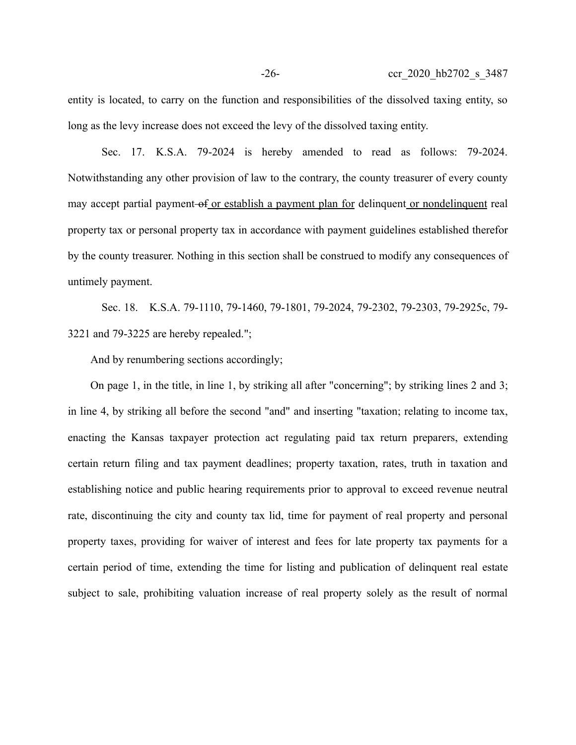entity is located, to carry on the function and responsibilities of the dissolved taxing entity, so long as the levy increase does not exceed the levy of the dissolved taxing entity.

Sec. 17. K.S.A. 79-2024 is hereby amended to read as follows: 79-2024. Notwithstanding any other provision of law to the contrary, the county treasurer of every county may accept partial payment of or establish a payment plan for delinquent or nondelinquent real property tax or personal property tax in accordance with payment guidelines established therefor by the county treasurer. Nothing in this section shall be construed to modify any consequences of untimely payment.

Sec. 18. K.S.A. 79-1110, 79-1460, 79-1801, 79-2024, 79-2302, 79-2303, 79-2925c, 79- 3221 and 79-3225 are hereby repealed.";

And by renumbering sections accordingly;

On page 1, in the title, in line 1, by striking all after "concerning"; by striking lines 2 and 3; in line 4, by striking all before the second "and" and inserting "taxation; relating to income tax, enacting the Kansas taxpayer protection act regulating paid tax return preparers, extending certain return filing and tax payment deadlines; property taxation, rates, truth in taxation and establishing notice and public hearing requirements prior to approval to exceed revenue neutral rate, discontinuing the city and county tax lid, time for payment of real property and personal property taxes, providing for waiver of interest and fees for late property tax payments for a certain period of time, extending the time for listing and publication of delinquent real estate subject to sale, prohibiting valuation increase of real property solely as the result of normal